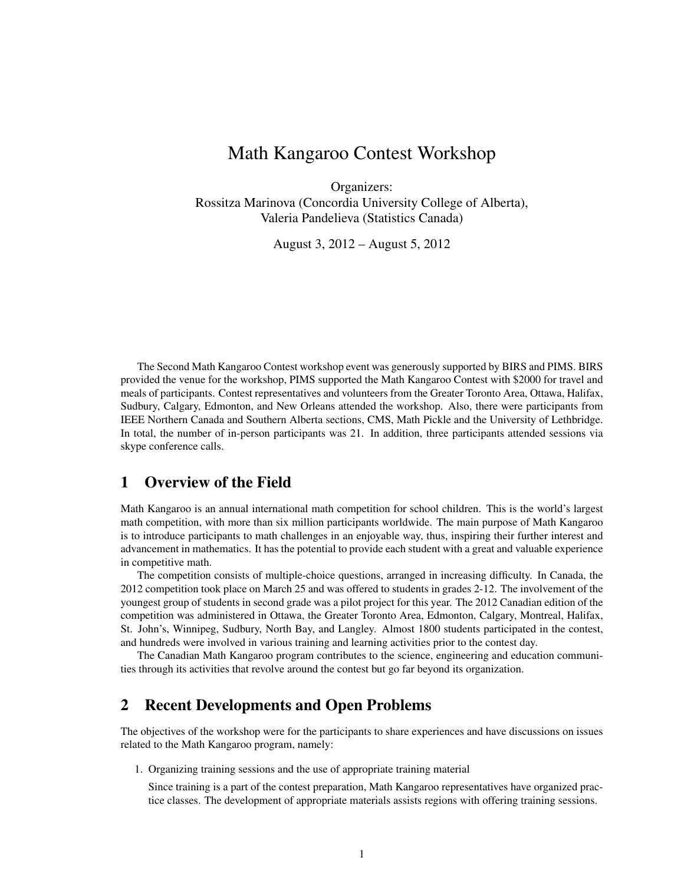# Math Kangaroo Contest Workshop

Organizers: Rossitza Marinova (Concordia University College of Alberta), Valeria Pandelieva (Statistics Canada)

August 3, 2012 – August 5, 2012

The Second Math Kangaroo Contest workshop event was generously supported by BIRS and PIMS. BIRS provided the venue for the workshop, PIMS supported the Math Kangaroo Contest with \$2000 for travel and meals of participants. Contest representatives and volunteers from the Greater Toronto Area, Ottawa, Halifax, Sudbury, Calgary, Edmonton, and New Orleans attended the workshop. Also, there were participants from IEEE Northern Canada and Southern Alberta sections, CMS, Math Pickle and the University of Lethbridge. In total, the number of in-person participants was 21. In addition, three participants attended sessions via skype conference calls.

#### 1 Overview of the Field

Math Kangaroo is an annual international math competition for school children. This is the world's largest math competition, with more than six million participants worldwide. The main purpose of Math Kangaroo is to introduce participants to math challenges in an enjoyable way, thus, inspiring their further interest and advancement in mathematics. It has the potential to provide each student with a great and valuable experience in competitive math.

The competition consists of multiple-choice questions, arranged in increasing difficulty. In Canada, the 2012 competition took place on March 25 and was offered to students in grades 2-12. The involvement of the youngest group of students in second grade was a pilot project for this year. The 2012 Canadian edition of the competition was administered in Ottawa, the Greater Toronto Area, Edmonton, Calgary, Montreal, Halifax, St. John's, Winnipeg, Sudbury, North Bay, and Langley. Almost 1800 students participated in the contest, and hundreds were involved in various training and learning activities prior to the contest day.

The Canadian Math Kangaroo program contributes to the science, engineering and education communities through its activities that revolve around the contest but go far beyond its organization.

## 2 Recent Developments and Open Problems

The objectives of the workshop were for the participants to share experiences and have discussions on issues related to the Math Kangaroo program, namely:

1. Organizing training sessions and the use of appropriate training material

Since training is a part of the contest preparation, Math Kangaroo representatives have organized practice classes. The development of appropriate materials assists regions with offering training sessions.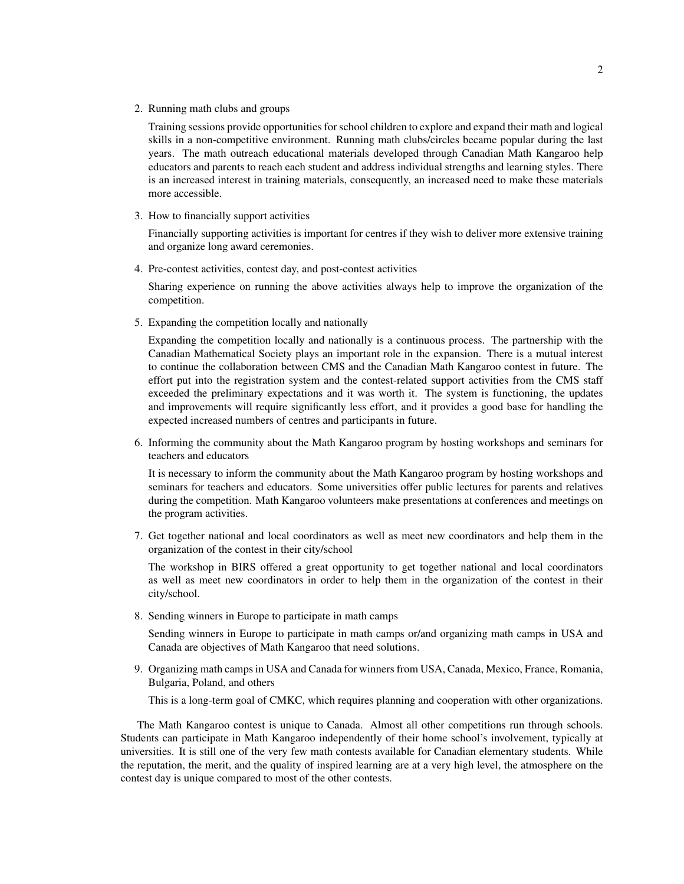2. Running math clubs and groups

Training sessions provide opportunities for school children to explore and expand their math and logical skills in a non-competitive environment. Running math clubs/circles became popular during the last years. The math outreach educational materials developed through Canadian Math Kangaroo help educators and parents to reach each student and address individual strengths and learning styles. There is an increased interest in training materials, consequently, an increased need to make these materials more accessible.

3. How to financially support activities

Financially supporting activities is important for centres if they wish to deliver more extensive training and organize long award ceremonies.

4. Pre-contest activities, contest day, and post-contest activities

Sharing experience on running the above activities always help to improve the organization of the competition.

5. Expanding the competition locally and nationally

Expanding the competition locally and nationally is a continuous process. The partnership with the Canadian Mathematical Society plays an important role in the expansion. There is a mutual interest to continue the collaboration between CMS and the Canadian Math Kangaroo contest in future. The effort put into the registration system and the contest-related support activities from the CMS staff exceeded the preliminary expectations and it was worth it. The system is functioning, the updates and improvements will require significantly less effort, and it provides a good base for handling the expected increased numbers of centres and participants in future.

6. Informing the community about the Math Kangaroo program by hosting workshops and seminars for teachers and educators

It is necessary to inform the community about the Math Kangaroo program by hosting workshops and seminars for teachers and educators. Some universities offer public lectures for parents and relatives during the competition. Math Kangaroo volunteers make presentations at conferences and meetings on the program activities.

7. Get together national and local coordinators as well as meet new coordinators and help them in the organization of the contest in their city/school

The workshop in BIRS offered a great opportunity to get together national and local coordinators as well as meet new coordinators in order to help them in the organization of the contest in their city/school.

8. Sending winners in Europe to participate in math camps

Sending winners in Europe to participate in math camps or/and organizing math camps in USA and Canada are objectives of Math Kangaroo that need solutions.

9. Organizing math camps in USA and Canada for winners from USA, Canada, Mexico, France, Romania, Bulgaria, Poland, and others

This is a long-term goal of CMKC, which requires planning and cooperation with other organizations.

The Math Kangaroo contest is unique to Canada. Almost all other competitions run through schools. Students can participate in Math Kangaroo independently of their home school's involvement, typically at universities. It is still one of the very few math contests available for Canadian elementary students. While the reputation, the merit, and the quality of inspired learning are at a very high level, the atmosphere on the contest day is unique compared to most of the other contests.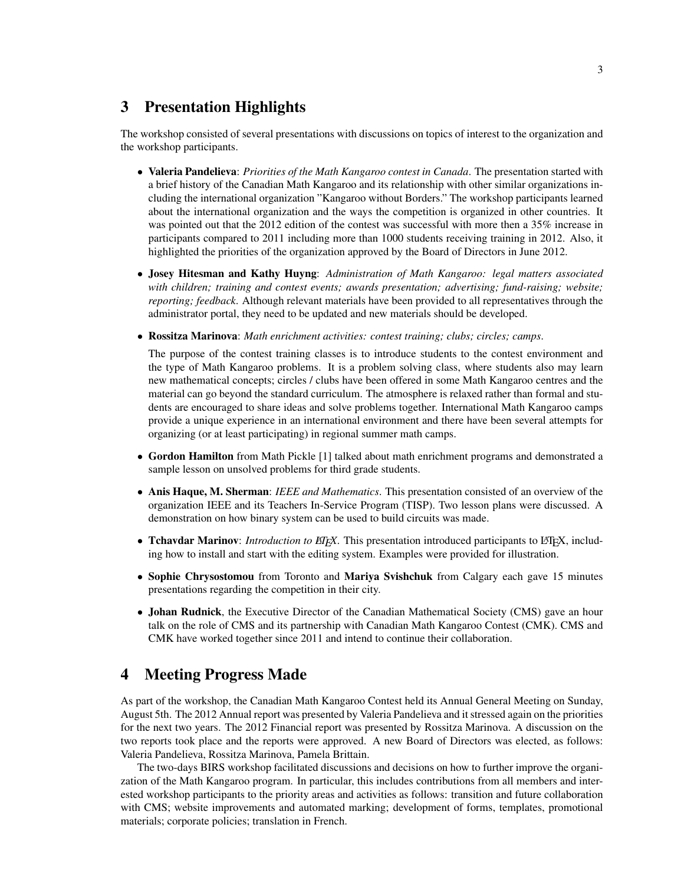#### 3 Presentation Highlights

The workshop consisted of several presentations with discussions on topics of interest to the organization and the workshop participants.

- Valeria Pandelieva: *Priorities of the Math Kangaroo contest in Canada*. The presentation started with a brief history of the Canadian Math Kangaroo and its relationship with other similar organizations including the international organization "Kangaroo without Borders." The workshop participants learned about the international organization and the ways the competition is organized in other countries. It was pointed out that the 2012 edition of the contest was successful with more then a 35% increase in participants compared to 2011 including more than 1000 students receiving training in 2012. Also, it highlighted the priorities of the organization approved by the Board of Directors in June 2012.
- Josey Hitesman and Kathy Huyng: *Administration of Math Kangaroo: legal matters associated with children; training and contest events; awards presentation; advertising; fund-raising; website; reporting; feedback*. Although relevant materials have been provided to all representatives through the administrator portal, they need to be updated and new materials should be developed.
- Rossitza Marinova: *Math enrichment activities: contest training; clubs; circles; camps*.

The purpose of the contest training classes is to introduce students to the contest environment and the type of Math Kangaroo problems. It is a problem solving class, where students also may learn new mathematical concepts; circles / clubs have been offered in some Math Kangaroo centres and the material can go beyond the standard curriculum. The atmosphere is relaxed rather than formal and students are encouraged to share ideas and solve problems together. International Math Kangaroo camps provide a unique experience in an international environment and there have been several attempts for organizing (or at least participating) in regional summer math camps.

- Gordon Hamilton from Math Pickle [1] talked about math enrichment programs and demonstrated a sample lesson on unsolved problems for third grade students.
- Anis Haque, M. Sherman: *IEEE and Mathematics*. This presentation consisted of an overview of the organization IEEE and its Teachers In-Service Program (TISP). Two lesson plans were discussed. A demonstration on how binary system can be used to build circuits was made.
- Tchavdar Marinov: *Introduction to EIFX*. This presentation introduced participants to L<sup>A</sup>TEX, including how to install and start with the editing system. Examples were provided for illustration.
- Sophie Chrysostomou from Toronto and Mariya Svishchuk from Calgary each gave 15 minutes presentations regarding the competition in their city.
- Johan Rudnick, the Executive Director of the Canadian Mathematical Society (CMS) gave an hour talk on the role of CMS and its partnership with Canadian Math Kangaroo Contest (CMK). CMS and CMK have worked together since 2011 and intend to continue their collaboration.

#### 4 Meeting Progress Made

As part of the workshop, the Canadian Math Kangaroo Contest held its Annual General Meeting on Sunday, August 5th. The 2012 Annual report was presented by Valeria Pandelieva and it stressed again on the priorities for the next two years. The 2012 Financial report was presented by Rossitza Marinova. A discussion on the two reports took place and the reports were approved. A new Board of Directors was elected, as follows: Valeria Pandelieva, Rossitza Marinova, Pamela Brittain.

The two-days BIRS workshop facilitated discussions and decisions on how to further improve the organization of the Math Kangaroo program. In particular, this includes contributions from all members and interested workshop participants to the priority areas and activities as follows: transition and future collaboration with CMS; website improvements and automated marking; development of forms, templates, promotional materials; corporate policies; translation in French.